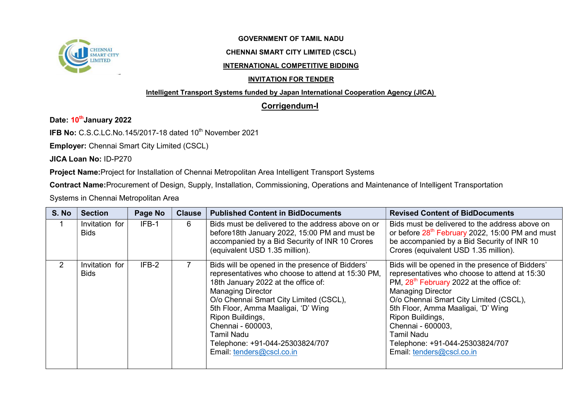

## GOVERNMENT OF TAMIL NADU

## CHENNAI SMART CITY LIMITED (CSCL)

#### INTERNATIONAL COMPETITIVE BIDDING

## INVITATION FOR TENDER

#### Intelligent Transport Systems funded by Japan International Cooperation Agency (JICA)

# Corrigendum-I

# Date: 10<sup>th</sup>January 2022

IFB No: C.S.C.LC.No.145/2017-18 dated 10<sup>th</sup> November 2021

Employer: Chennai Smart City Limited (CSCL)

JICA Loan No: ID-P270

Project Name:Project for Installation of Chennai Metropolitan Area Intelligent Transport Systems

Contract Name:Procurement of Design, Supply, Installation, Commissioning, Operations and Maintenance of Intelligent Transportation

Systems in Chennai Metropolitan Area

| S. No          | <b>Section</b>                | Page No | <b>Clause</b> | <b>Published Content in BidDocuments</b>                                                                                                                                                                                                                                                                                                                                              | <b>Revised Content of BidDocuments</b>                                                                                                                                                                                                                                                                                                                                                             |
|----------------|-------------------------------|---------|---------------|---------------------------------------------------------------------------------------------------------------------------------------------------------------------------------------------------------------------------------------------------------------------------------------------------------------------------------------------------------------------------------------|----------------------------------------------------------------------------------------------------------------------------------------------------------------------------------------------------------------------------------------------------------------------------------------------------------------------------------------------------------------------------------------------------|
|                | Invitation for<br>Bids        | IFB-1   | 6             | Bids must be delivered to the address above on or<br>before 18th January 2022, 15:00 PM and must be<br>accompanied by a Bid Security of INR 10 Crores<br>(equivalent USD 1.35 million).                                                                                                                                                                                               | Bids must be delivered to the address above on<br>or before 28 <sup>th</sup> February 2022, 15:00 PM and must<br>be accompanied by a Bid Security of INR 10<br>Crores (equivalent USD 1.35 million).                                                                                                                                                                                               |
| $\overline{2}$ | Invitation for<br><b>Bids</b> | IFB-2   |               | Bids will be opened in the presence of Bidders'<br>representatives who choose to attend at 15:30 PM,<br>18th January 2022 at the office of:<br><b>Managing Director</b><br>O/o Chennai Smart City Limited (CSCL),<br>5th Floor, Amma Maaligai, 'D' Wing<br>Ripon Buildings,<br>Chennai - 600003,<br><b>Tamil Nadu</b><br>Telephone: +91-044-25303824/707<br>Email: tenders@cscl.co.in | Bids will be opened in the presence of Bidders'<br>representatives who choose to attend at 15:30<br>PM, 28 <sup>th</sup> February 2022 at the office of:<br><b>Managing Director</b><br>O/o Chennai Smart City Limited (CSCL),<br>5th Floor, Amma Maaligai, 'D' Wing<br>Ripon Buildings,<br>Chennai - 600003,<br><b>Tamil Nadu</b><br>Telephone: +91-044-25303824/707<br>Email: tenders@cscl.co.in |